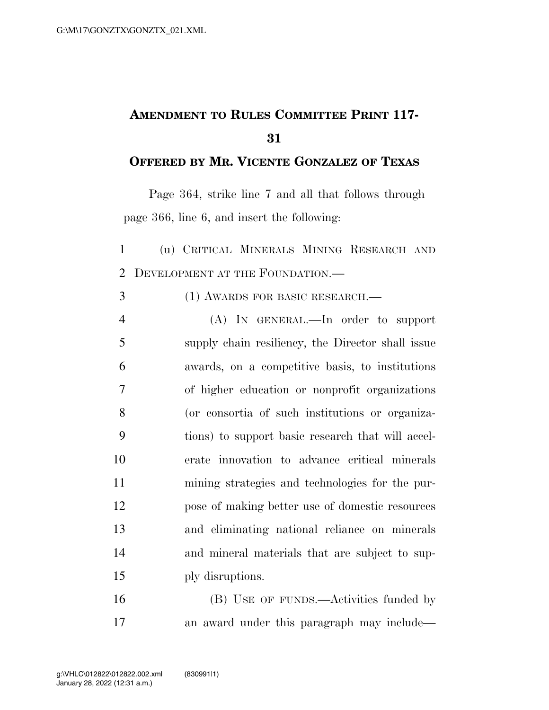## **AMENDMENT TO RULES COMMITTEE PRINT 117-**

## **OFFERED BY MR. VICENTE GONZALEZ OF TEXAS**

Page 364, strike line 7 and all that follows through page 366, line 6, and insert the following:

 (u) CRITICAL MINERALS MINING RESEARCH AND 2 DEVELOPMENT AT THE FOUNDATION.

- (1) AWARDS FOR BASIC RESEARCH.—
- (A) IN GENERAL.—In order to support supply chain resiliency, the Director shall issue awards, on a competitive basis, to institutions of higher education or nonprofit organizations (or consortia of such institutions or organiza- tions) to support basic research that will accel- erate innovation to advance critical minerals mining strategies and technologies for the pur- pose of making better use of domestic resources and eliminating national reliance on minerals and mineral materials that are subject to sup-ply disruptions.

 (B) USE OF FUNDS.—Activities funded by an award under this paragraph may include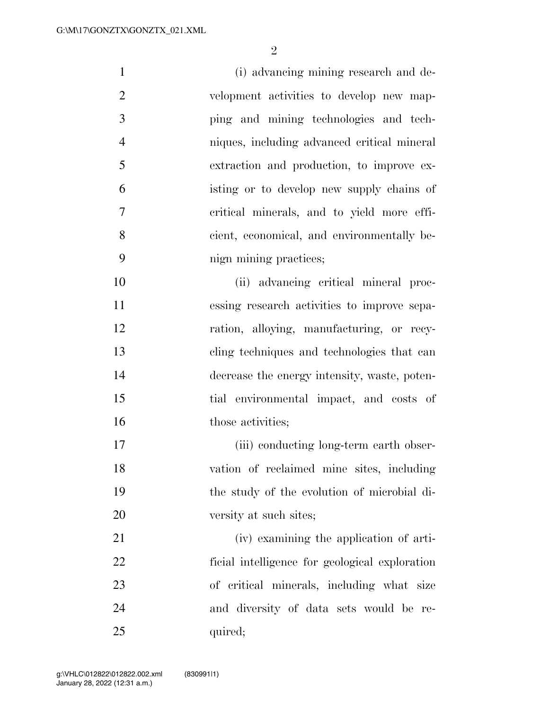$\mathfrak{D}$ 

 (i) advancing mining research and de- velopment activities to develop new map- ping and mining technologies and tech- niques, including advanced critical mineral extraction and production, to improve ex- isting or to develop new supply chains of critical minerals, and to yield more effi- cient, economical, and environmentally be- nign mining practices; (ii) advancing critical mineral proc- essing research activities to improve sepa- ration, alloying, manufacturing, or recy- cling techniques and technologies that can decrease the energy intensity, waste, poten- tial environmental impact, and costs of 16 those activities: 17 (iii) conducting long-term earth obser- vation of reclaimed mine sites, including the study of the evolution of microbial di-20 versity at such sites; (iv) examining the application of arti- ficial intelligence for geological exploration of critical minerals, including what size and diversity of data sets would be re-

25 quired;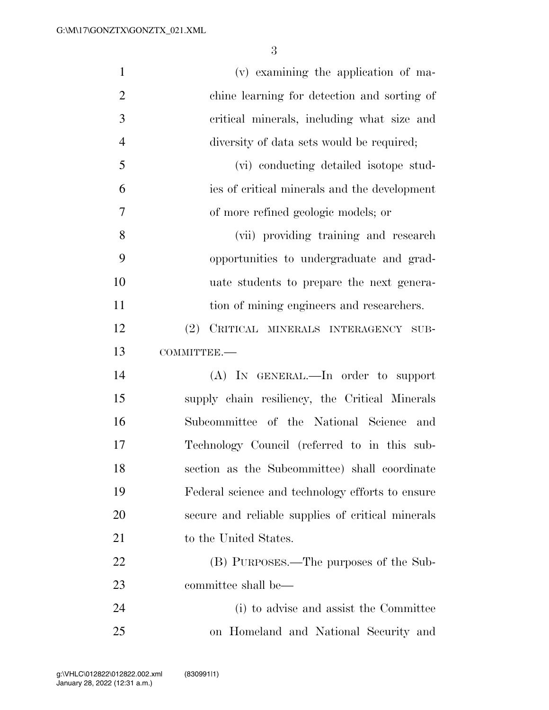| $\mathbf{1}$   | (v) examining the application of ma-              |
|----------------|---------------------------------------------------|
| $\overline{2}$ | chine learning for detection and sorting of       |
| 3              | critical minerals, including what size and        |
| $\overline{4}$ | diversity of data sets would be required;         |
| 5              | (vi) conducting detailed isotope stud-            |
| 6              | ies of critical minerals and the development      |
| $\overline{7}$ | of more refined geologic models; or               |
| 8              | (vii) providing training and research             |
| 9              | opportunities to undergraduate and grad-          |
| 10             | uate students to prepare the next genera-         |
| 11             | tion of mining engineers and researchers.         |
| 12             | CRITICAL MINERALS INTERAGENCY SUB-<br>(2)         |
| 13             | COMMITTEE.-                                       |
| 14             | (A) IN GENERAL.—In order to support               |
| 15             | supply chain resiliency, the Critical Minerals    |
| 16             | Subcommittee of the National Science and          |
| 17             | Technology Council (referred to in this sub-      |
| 18             | section as the Subcommittee) shall coordinate     |
| 19             | Federal science and technology efforts to ensure  |
| 20             | secure and reliable supplies of critical minerals |
| 21             | to the United States.                             |
| 22             | (B) PURPOSES.—The purposes of the Sub-            |
| 23             | committee shall be—                               |
| 24             | (i) to advise and assist the Committee            |
| 25             | on Homeland and National Security and             |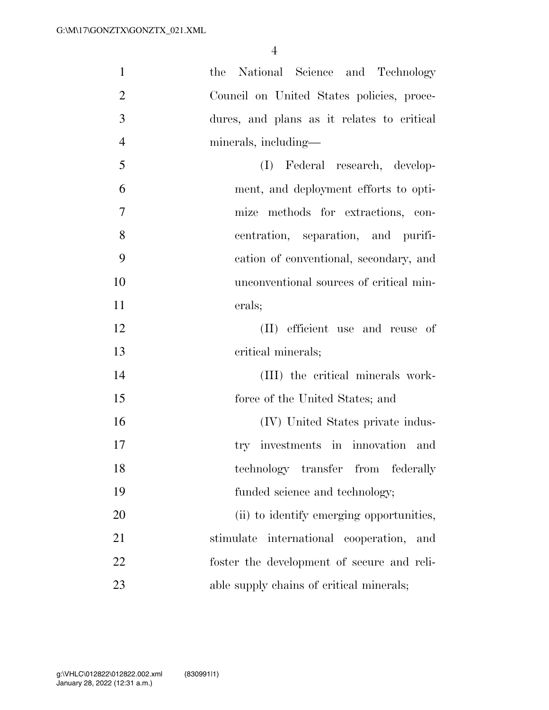| $\mathbf{1}$   | the National Science and Technology            |
|----------------|------------------------------------------------|
| $\overline{2}$ | Council on United States policies, proce-      |
| 3              | dures, and plans as it relates to critical     |
| $\overline{4}$ | minerals, including—                           |
| 5              | (I) Federal research, develop-                 |
| 6              | ment, and deployment efforts to opti-          |
| $\overline{7}$ | mize methods for extractions, con-             |
| 8              | centration, separation, and purifi-            |
| 9              | cation of conventional, secondary, and         |
| 10             | unconventional sources of critical min-        |
| 11             | erals;                                         |
| 12             | (II) efficient use and reuse of                |
| 13             | critical minerals;                             |
| 14             | (III) the critical minerals work-              |
| 15             | force of the United States; and                |
| 16             | (IV) United States private indus-              |
| 17             | try investments in innovation<br>and           |
| 18             | technology transfer from federally             |
| 19             | funded science and technology;                 |
| 20             | (ii) to identify emerging opportunities,       |
| 21             | international cooperation,<br>stimulate<br>and |
| 22             | foster the development of secure and reli-     |
| 23             | able supply chains of critical minerals;       |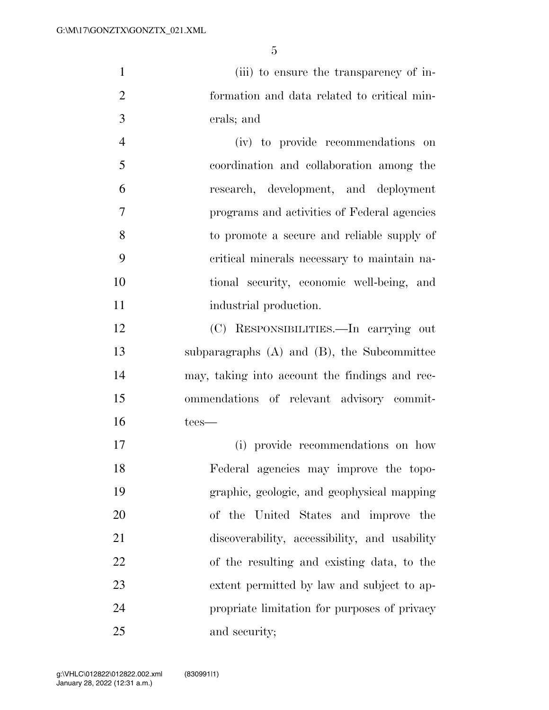(iii) to ensure the transparency of in- formation and data related to critical min-erals; and

 (iv) to provide recommendations on coordination and collaboration among the research, development, and deployment programs and activities of Federal agencies to promote a secure and reliable supply of critical minerals necessary to maintain na- tional security, economic well-being, and 11 industrial production.

 (C) RESPONSIBILITIES.—In carrying out subparagraphs (A) and (B), the Subcommittee may, taking into account the findings and rec- ommendations of relevant advisory commit-tees—

 (i) provide recommendations on how Federal agencies may improve the topo- graphic, geologic, and geophysical mapping of the United States and improve the discoverability, accessibility, and usability of the resulting and existing data, to the extent permitted by law and subject to ap- propriate limitation for purposes of privacy and security;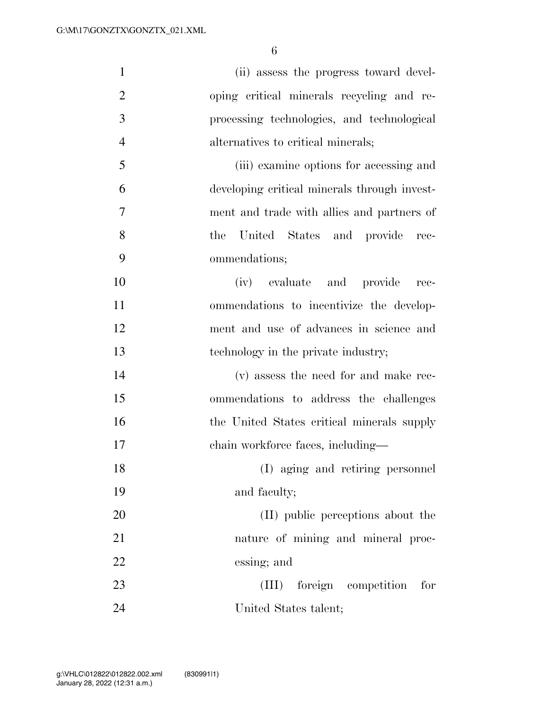| $\mathbf{1}$   | (ii) assess the progress toward devel-       |
|----------------|----------------------------------------------|
| $\overline{2}$ | oping critical minerals recycling and re-    |
| 3              | processing technologies, and technological   |
| $\overline{4}$ | alternatives to critical minerals;           |
| 5              | (iii) examine options for accessing and      |
| 6              | developing critical minerals through invest- |
| $\overline{7}$ | ment and trade with allies and partners of   |
| 8              | United States and provide<br>the<br>rec-     |
| 9              | ommendations;                                |
| 10             | (iv) evaluate and provide<br>$rec-$          |
| 11             | ommendations to incentivize the develop-     |
| 12             | ment and use of advances in science and      |
| 13             | technology in the private industry;          |
| 14             | (v) assess the need for and make rec-        |
| 15             | ommendations to address the challenges       |
| 16             | the United States critical minerals supply   |
| 17             | chain workforce faces, including-            |
| 18             | (I) aging and retiring personnel             |
| 19             | and faculty;                                 |
| 20             | (II) public perceptions about the            |
| 21             | nature of mining and mineral proc-           |
| 22             | essing; and                                  |
| 23             | (III) foreign competition<br>for             |
| 24             | United States talent;                        |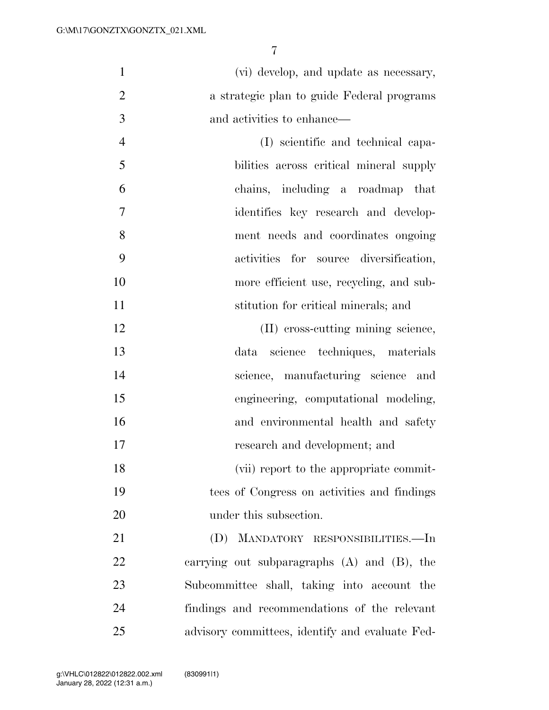(vi) develop, and update as necessary, a strategic plan to guide Federal programs and activities to enhance—

 (I) scientific and technical capa- bilities across critical mineral supply chains, including a roadmap that identifies key research and develop- ment needs and coordinates ongoing activities for source diversification, more efficient use, recycling, and sub-stitution for critical minerals; and

12 (II) cross-cutting mining science, data science techniques, materials science, manufacturing science and engineering, computational modeling, and environmental health and safety research and development; and

18 (vii) report to the appropriate commit- tees of Congress on activities and findings 20 under this subsection.

 (D) MANDATORY RESPONSIBILITIES.—In carrying out subparagraphs (A) and (B), the Subcommittee shall, taking into account the findings and recommendations of the relevant advisory committees, identify and evaluate Fed-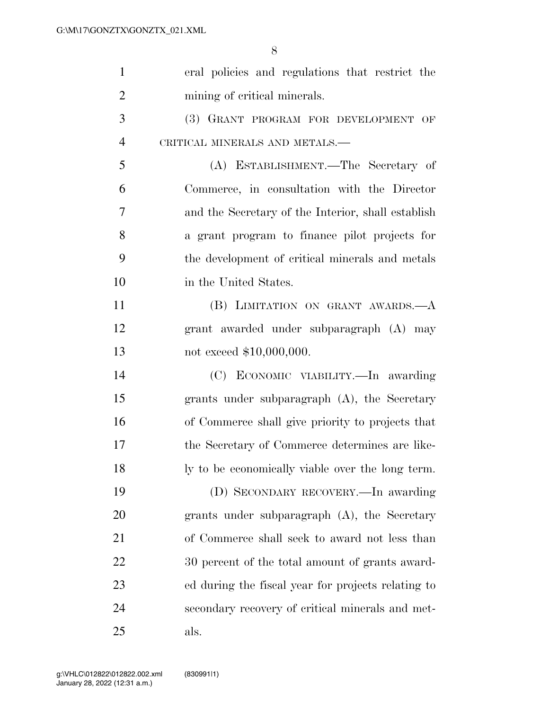| $\mathbf{1}$   | eral policies and regulations that restrict the    |
|----------------|----------------------------------------------------|
| $\overline{2}$ | mining of critical minerals.                       |
| 3              | (3) GRANT PROGRAM FOR DEVELOPMENT OF               |
| $\overline{4}$ | CRITICAL MINERALS AND METALS.-                     |
| 5              | (A) ESTABLISHMENT.—The Secretary of                |
| 6              | Commerce, in consultation with the Director        |
| 7              | and the Secretary of the Interior, shall establish |
| 8              | a grant program to finance pilot projects for      |
| 9              | the development of critical minerals and metals    |
| 10             | in the United States.                              |
| 11             | (B) LIMITATION ON GRANT AWARDS.- A                 |
| 12             | grant awarded under subparagraph (A) may           |
| 13             | not exceed \$10,000,000.                           |
| 14             | (C) ECONOMIC VIABILITY.—In awarding                |
| 15             | grants under subparagraph $(A)$ , the Secretary    |
| 16             | of Commerce shall give priority to projects that   |
| 17             | the Secretary of Commerce determines are like-     |
| 18             | ly to be economically viable over the long term.   |
| 19             | (D) SECONDARY RECOVERY.—In awarding                |
| 20             | grants under subparagraph $(A)$ , the Secretary    |
| 21             | of Commerce shall seek to award not less than      |
| 22             | 30 percent of the total amount of grants award-    |
| 23             | ed during the fiscal year for projects relating to |
| 24             | secondary recovery of critical minerals and met-   |
| 25             | als.                                               |